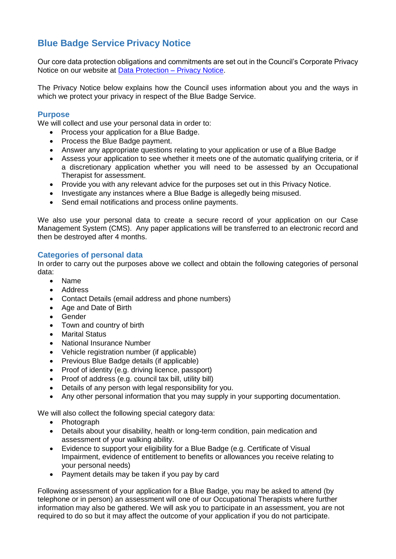# **Blue Badge Service Privacy Notice**

Our core data protection obligations and commitments are set out in the Council's Corporate Privacy Notice on our website at [Data Protection –](https://www.tameside.gov.uk/dataprotection/PrivacyNotice) Privacy Notice.

The Privacy Notice below explains how the Council uses information about you and the ways in which we protect your privacy in respect of the Blue Badge Service.

## **Purpose**

We will collect and use your personal data in order to:

- Process your application for a Blue Badge.
- Process the Blue Badge payment.
- Answer any appropriate questions relating to your application or use of a Blue Badge
- Assess your application to see whether it meets one of the automatic qualifying criteria, or if a discretionary application whether you will need to be assessed by an Occupational Therapist for assessment.
- Provide you with any relevant advice for the purposes set out in this Privacy Notice.
- Investigate any instances where a Blue Badge is allegedly being misused.
- Send email notifications and process online payments.

We also use your personal data to create a secure record of your application on our Case Management System (CMS). Any paper applications will be transferred to an electronic record and then be destroyed after 4 months.

# **Categories of personal data**

In order to carry out the purposes above we collect and obtain the following categories of personal data:

- Name
- Address
- Contact Details (email address and phone numbers)
- Age and Date of Birth
- Gender
- Town and country of birth
- Marital Status
- National Insurance Number
- Vehicle registration number (if applicable)
- Previous Blue Badge details (if applicable)
- Proof of identity (e.g. driving licence, passport)
- Proof of address (e.g. council tax bill, utility bill)
- Details of any person with legal responsibility for you.
- Any other personal information that you may supply in your supporting documentation.

We will also collect the following special category data:

- Photograph
- Details about your disability, health or long-term condition, pain medication and assessment of your walking ability.
- Evidence to support your eligibility for a Blue Badge (e.g. Certificate of Visual Impairment, evidence of entitlement to benefits or allowances you receive relating to your personal needs)
- Payment details may be taken if you pay by card

Following assessment of your application for a Blue Badge, you may be asked to attend (by telephone or in person) an assessment will one of our Occupational Therapists where further information may also be gathered. We will ask you to participate in an assessment, you are not required to do so but it may affect the outcome of your application if you do not participate.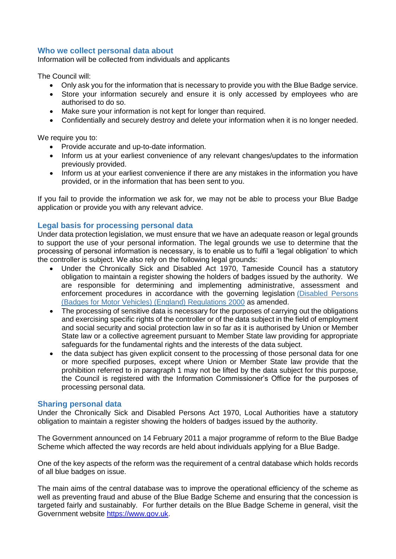# **Who we collect personal data about**

Information will be collected from individuals and applicants

The Council will:

- Only ask you for the information that is necessary to provide you with the Blue Badge service.
- Store your information securely and ensure it is only accessed by employees who are authorised to do so.
- Make sure your information is not kept for longer than required.
- Confidentially and securely destroy and delete your information when it is no longer needed.

We require you to:

- Provide accurate and up-to-date information.
- Inform us at your earliest convenience of any relevant changes/updates to the information previously provided.
- Inform us at your earliest convenience if there are any mistakes in the information you have provided, or in the information that has been sent to you.

If you fail to provide the information we ask for, we may not be able to process your Blue Badge application or provide you with any relevant advice.

# **Legal basis for processing personal data**

Under data protection legislation, we must ensure that we have an adequate reason or legal grounds to support the use of your personal information. The legal grounds we use to determine that the processing of personal information is necessary, is to enable us to fulfil a 'legal obligation' to which the controller is subject. We also rely on the following legal grounds:

- Under the Chronically Sick and Disabled Act 1970, Tameside Council has a statutory obligation to maintain a register showing the holders of badges issued by the authority. We are responsible for determining and implementing administrative, assessment and enforcement procedures in accordance with the governing legislation [\(Disabled Persons](http://www.legislation.gov.uk/uksi/2000/682/introduction/made)  [\(Badges for Motor Vehicles\) \(England\) Regulations 2000](http://www.legislation.gov.uk/uksi/2000/682/introduction/made) as amended.
- The processing of sensitive data is necessary for the purposes of carrying out the obligations and exercising specific rights of the controller or of the data subject in the field of employment and social security and social protection law in so far as it is authorised by Union or Member State law or a collective agreement pursuant to Member State law providing for appropriate safeguards for the fundamental rights and the interests of the data subject.
- the data subject has given explicit consent to the processing of those personal data for one or more specified purposes, except where Union or Member State law provide that the prohibition referred to in paragraph 1 may not be lifted by the data subject for this purpose, the Council is registered with the Information Commissioner's Office for the purposes of processing personal data.

## **Sharing personal data**

Under the Chronically Sick and Disabled Persons Act 1970, Local Authorities have a statutory obligation to maintain a register showing the holders of badges issued by the authority.

The Government announced on 14 February 2011 a major programme of reform to the Blue Badge Scheme which affected the way records are held about individuals applying for a Blue Badge.

One of the key aspects of the reform was the requirement of a central database which holds records of all blue badges on issue.

The main aims of the central database was to improve the operational efficiency of the scheme as well as preventing fraud and abuse of the Blue Badge Scheme and ensuring that the concession is targeted fairly and sustainably. For further details on the Blue Badge Scheme in general, visit the Government website [https://www.gov.uk.](https://www.gov.uk/)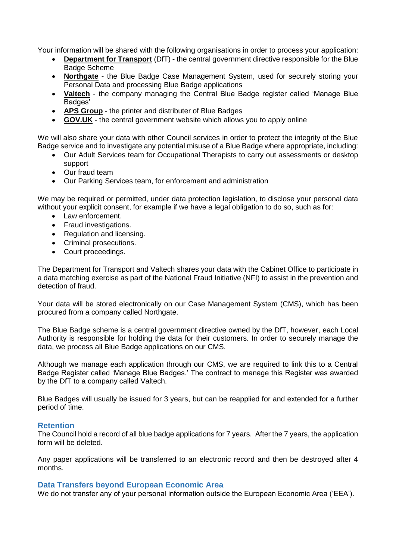Your information will be shared with the following organisations in order to process your application:

- **[Department for Transport](https://www.gov.uk/government/organisations/department-for-transport)** (DfT) the central government directive responsible for the Blue Badge Scheme
- **[Northgate](https://www.northgateps.com/)** the Blue Badge Case Management System, used for securely storing your Personal Data and processing Blue Badge applications
- **[Valtech](https://www.valtech.com/en-gb/insights/redesigning-the-blue-badge-service/)** the company managing the Central Blue Badge register called 'Manage Blue Badges'
- **[APS Group](https://www.theapsgroup.com/en-gb/services/secure-communications/)** the printer and distributer of Blue Badges
- **[GOV.UK](https://www.gov.uk/apply-blue-badge)** the central government website which allows you to apply online

We will also share your data with other Council services in order to protect the integrity of the Blue Badge service and to investigate any potential misuse of a Blue Badge where appropriate, including:

- Our Adult Services team for Occupational Therapists to carry out assessments or desktop support
- Our fraud team
- Our [Parking Services](https://www.york.gov.uk/ParkingAndTravel) team, for enforcement and administration

We may be required or permitted, under data protection legislation, to disclose your personal data without your explicit consent, for example if we have a legal obligation to do so, such as for:

- Law enforcement.
- Fraud investigations.
- Regulation and licensing.
- Criminal prosecutions.
- Court proceedings.

The Department for Transport and Valtech shares your data with the Cabinet Office to participate in a data matching exercise as part of the National Fraud Initiative (NFI) to assist in the prevention and detection of fraud.

Your data will be stored electronically on our Case Management System (CMS), which has been procured from a company called Northgate.

The Blue Badge scheme is a central government directive owned by the DfT, however, each Local Authority is responsible for holding the data for their customers. In order to securely manage the data, we process all Blue Badge applications on our CMS.

Although we manage each application through our CMS, we are required to link this to a Central Badge Register called 'Manage Blue Badges.' The contract to manage this Register was awarded by the DfT to a company called Valtech.

Blue Badges will usually be issued for 3 years, but can be reapplied for and extended for a further period of time.

## **Retention**

The Council hold a record of all blue badge applications for 7 years. After the 7 years, the application form will be deleted.

Any paper applications will be transferred to an electronic record and then be destroyed after 4 months.

#### **Data Transfers beyond European Economic Area**

We do not transfer any of your personal information outside the European Economic Area ('EEA').